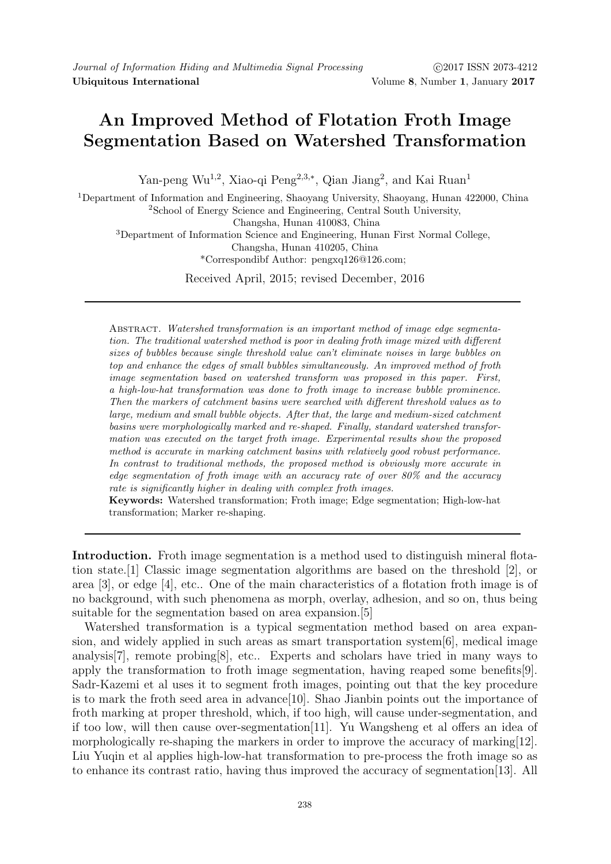# An Improved Method of Flotation Froth Image Segmentation Based on Watershed Transformation

Yan-peng Wu<sup>1,2</sup>, Xiao-qi Peng<sup>2,3,\*</sup>, Qian Jiang<sup>2</sup>, and Kai Ruan<sup>1</sup>

<sup>1</sup>Department of Information and Engineering, Shaoyang University, Shaoyang, Hunan 422000, China <sup>2</sup>School of Energy Science and Engineering, Central South University, Changsha, Hunan 410083, China <sup>3</sup>Department of Information Science and Engineering, Hunan First Normal College, Changsha, Hunan 410205, China \*Correspondibf Author: pengxq126@126.com;

Received April, 2015; revised December, 2016

Abstract. Watershed transformation is an important method of image edge segmentation. The traditional watershed method is poor in dealing froth image mixed with different sizes of bubbles because single threshold value can't eliminate noises in large bubbles on top and enhance the edges of small bubbles simultaneously. An improved method of froth image segmentation based on watershed transform was proposed in this paper. First, a high-low-hat transformation was done to froth image to increase bubble prominence. Then the markers of catchment basins were searched with different threshold values as to large, medium and small bubble objects. After that, the large and medium-sized catchment basins were morphologically marked and re-shaped. Finally, standard watershed transformation was executed on the target froth image. Experimental results show the proposed method is accurate in marking catchment basins with relatively good robust performance. In contrast to traditional methods, the proposed method is obviously more accurate in edge segmentation of froth image with an accuracy rate of over 80% and the accuracy rate is significantly higher in dealing with complex froth images.

Keywords: Watershed transformation; Froth image; Edge segmentation; High-low-hat transformation; Marker re-shaping.

Introduction. Froth image segmentation is a method used to distinguish mineral flotation state.[1] Classic image segmentation algorithms are based on the threshold [2], or area [3], or edge [4], etc.. One of the main characteristics of a flotation froth image is of no background, with such phenomena as morph, overlay, adhesion, and so on, thus being suitable for the segmentation based on area expansion.[5]

Watershed transformation is a typical segmentation method based on area expansion, and widely applied in such areas as smart transportation system[6], medical image analysis[7], remote probing[8], etc.. Experts and scholars have tried in many ways to apply the transformation to froth image segmentation, having reaped some benefits[9]. Sadr-Kazemi et al uses it to segment froth images, pointing out that the key procedure is to mark the froth seed area in advance[10]. Shao Jianbin points out the importance of froth marking at proper threshold, which, if too high, will cause under-segmentation, and if too low, will then cause over-segmentation[11]. Yu Wangsheng et al offers an idea of morphologically re-shaping the markers in order to improve the accuracy of marking[12]. Liu Yuqin et al applies high-low-hat transformation to pre-process the froth image so as to enhance its contrast ratio, having thus improved the accuracy of segmentation[13]. All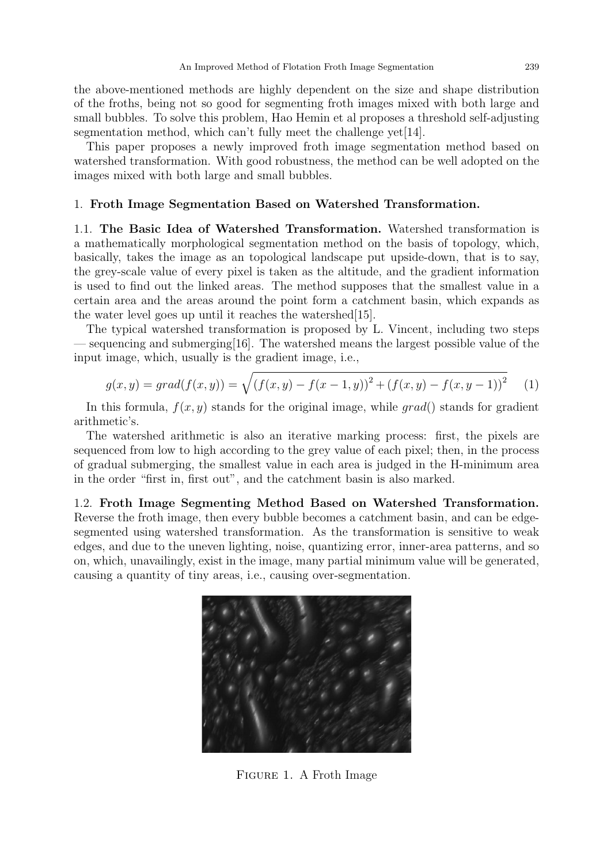the above-mentioned methods are highly dependent on the size and shape distribution of the froths, being not so good for segmenting froth images mixed with both large and small bubbles. To solve this problem, Hao Hemin et al proposes a threshold self-adjusting segmentation method, which can't fully meet the challenge yet  $[14]$ .

This paper proposes a newly improved froth image segmentation method based on watershed transformation. With good robustness, the method can be well adopted on the images mixed with both large and small bubbles.

#### 1. Froth Image Segmentation Based on Watershed Transformation.

1.1. The Basic Idea of Watershed Transformation. Watershed transformation is a mathematically morphological segmentation method on the basis of topology, which, basically, takes the image as an topological landscape put upside-down, that is to say, the grey-scale value of every pixel is taken as the altitude, and the gradient information is used to find out the linked areas. The method supposes that the smallest value in a certain area and the areas around the point form a catchment basin, which expands as the water level goes up until it reaches the watershed[15].

The typical watershed transformation is proposed by L. Vincent, including two steps — sequencing and submerging[16]. The watershed means the largest possible value of the input image, which, usually is the gradient image, i.e.,

$$
g(x,y) = grad(f(x,y)) = \sqrt{(f(x,y) - f(x-1,y))^2 + (f(x,y) - f(x,y-1))^2}
$$
 (1)

In this formula,  $f(x, y)$  stands for the original image, while grad() stands for gradient arithmetic's.

The watershed arithmetic is also an iterative marking process: first, the pixels are sequenced from low to high according to the grey value of each pixel; then, in the process of gradual submerging, the smallest value in each area is judged in the H-minimum area in the order "first in, first out", and the catchment basin is also marked.

1.2. Froth Image Segmenting Method Based on Watershed Transformation. Reverse the froth image, then every bubble becomes a catchment basin, and can be edgesegmented using watershed transformation. As the transformation is sensitive to weak edges, and due to the uneven lighting, noise, quantizing error, inner-area patterns, and so on, which, unavailingly, exist in the image, many partial minimum value will be generated, causing a quantity of tiny areas, i.e., causing over-segmentation.



Figure 1. A Froth Image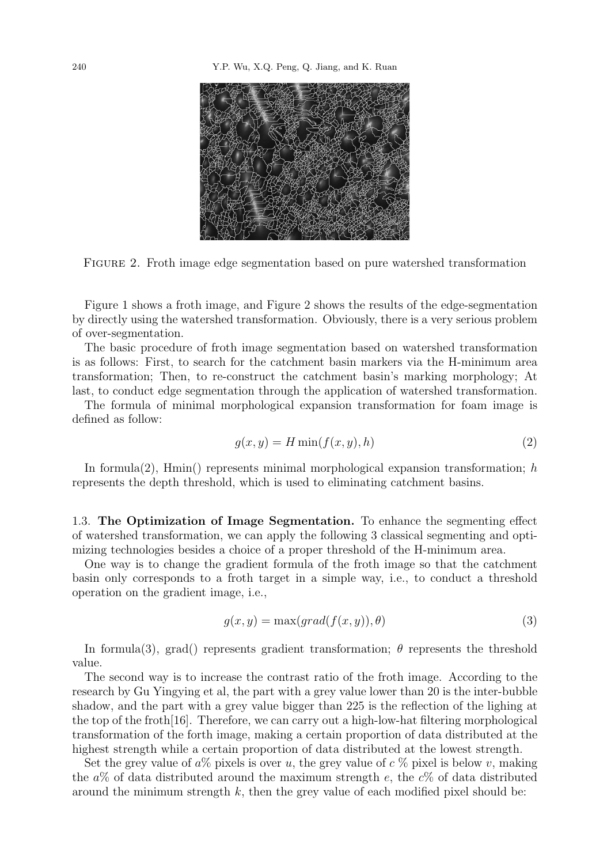

Figure 2. Froth image edge segmentation based on pure watershed transformation

Figure 1 shows a froth image, and Figure 2 shows the results of the edge-segmentation by directly using the watershed transformation. Obviously, there is a very serious problem of over-segmentation.

The basic procedure of froth image segmentation based on watershed transformation is as follows: First, to search for the catchment basin markers via the H-minimum area transformation; Then, to re-construct the catchment basin's marking morphology; At last, to conduct edge segmentation through the application of watershed transformation.

The formula of minimal morphological expansion transformation for foam image is defined as follow:

$$
g(x, y) = H \min(f(x, y), h)
$$
\n(2)

In formula(2),  $\text{Hmin}()$  represents minimal morphological expansion transformation; h represents the depth threshold, which is used to eliminating catchment basins.

1.3. The Optimization of Image Segmentation. To enhance the segmenting effect of watershed transformation, we can apply the following 3 classical segmenting and optimizing technologies besides a choice of a proper threshold of the H-minimum area.

One way is to change the gradient formula of the froth image so that the catchment basin only corresponds to a froth target in a simple way, i.e., to conduct a threshold operation on the gradient image, i.e.,

$$
g(x, y) = \max(grad(f(x, y)), \theta)
$$
\n(3)

In formula(3), grad() represents gradient transformation;  $\theta$  represents the threshold value.

The second way is to increase the contrast ratio of the froth image. According to the research by Gu Yingying et al, the part with a grey value lower than 20 is the inter-bubble shadow, and the part with a grey value bigger than 225 is the reflection of the lighing at the top of the froth  $[16]$ . Therefore, we can carry out a high-low-hat filtering morphological transformation of the forth image, making a certain proportion of data distributed at the highest strength while a certain proportion of data distributed at the lowest strength.

Set the grey value of  $a\%$  pixels is over u, the grey value of c  $\%$  pixel is below v, making the  $a\%$  of data distributed around the maximum strength e, the  $c\%$  of data distributed around the minimum strength  $k$ , then the grey value of each modified pixel should be: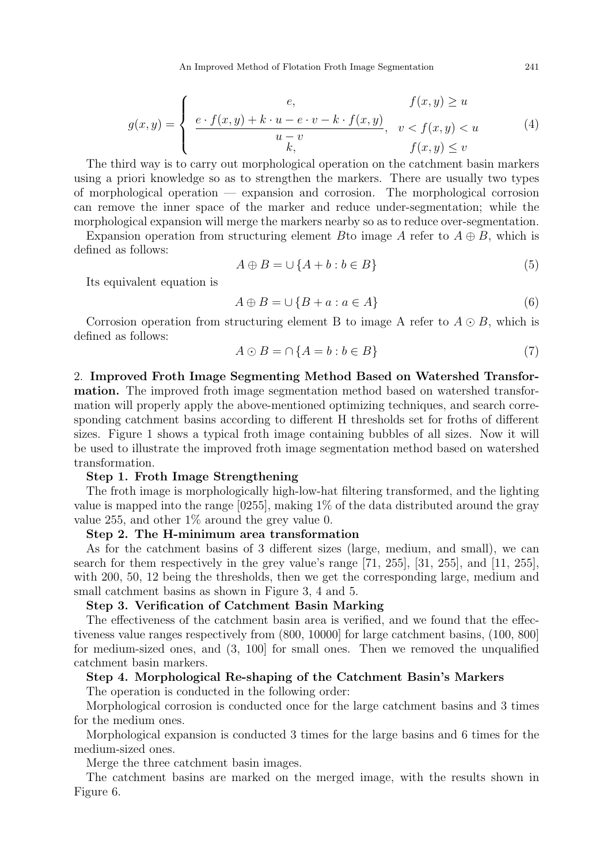$$
g(x,y) = \begin{cases} e, & f(x,y) \ge u \\ \frac{e \cdot f(x,y) + k \cdot u - e \cdot v - k \cdot f(x,y)}{u - v}, & v < f(x,y) < u \\ k, & f(x,y) \le v \end{cases}
$$
(4)

The third way is to carry out morphological operation on the catchment basin markers using a priori knowledge so as to strengthen the markers. There are usually two types of morphological operation — expansion and corrosion. The morphological corrosion can remove the inner space of the marker and reduce under-segmentation; while the morphological expansion will merge the markers nearby so as to reduce over-segmentation.

Expansion operation from structuring element B to image A refer to  $A \oplus B$ , which is defined as follows:

$$
A \oplus B = \cup \{A + b : b \in B\} \tag{5}
$$

Its equivalent equation is

$$
A \oplus B = \cup \{B + a : a \in A\} \tag{6}
$$

Corrosion operation from structuring element B to image A refer to  $A \odot B$ , which is defined as follows:

$$
A \odot B = \cap \{A = b : b \in B\} \tag{7}
$$

2. Improved Froth Image Segmenting Method Based on Watershed Transformation. The improved froth image segmentation method based on watershed transformation will properly apply the above-mentioned optimizing techniques, and search corresponding catchment basins according to different H thresholds set for froths of different sizes. Figure 1 shows a typical froth image containing bubbles of all sizes. Now it will be used to illustrate the improved froth image segmentation method based on watershed transformation.

#### Step 1. Froth Image Strengthening

The froth image is morphologically high-low-hat filtering transformed, and the lighting value is mapped into the range  $[0255]$ , making  $1\%$  of the data distributed around the gray value 255, and other 1% around the grey value 0.

#### Step 2. The H-minimum area transformation

As for the catchment basins of 3 different sizes (large, medium, and small), we can search for them respectively in the grey value's range  $[71, 255]$ ,  $[31, 255]$ , and  $[11, 255]$ , with 200, 50, 12 being the thresholds, then we get the corresponding large, medium and small catchment basins as shown in Figure 3, 4 and 5.

#### Step 3. Verification of Catchment Basin Marking

The effectiveness of the catchment basin area is verified, and we found that the effectiveness value ranges respectively from (800, 10000] for large catchment basins, (100, 800] for medium-sized ones, and (3, 100] for small ones. Then we removed the unqualified catchment basin markers.

#### Step 4. Morphological Re-shaping of the Catchment Basin's Markers

The operation is conducted in the following order:

Morphological corrosion is conducted once for the large catchment basins and 3 times for the medium ones.

Morphological expansion is conducted 3 times for the large basins and 6 times for the medium-sized ones.

Merge the three catchment basin images.

The catchment basins are marked on the merged image, with the results shown in Figure 6.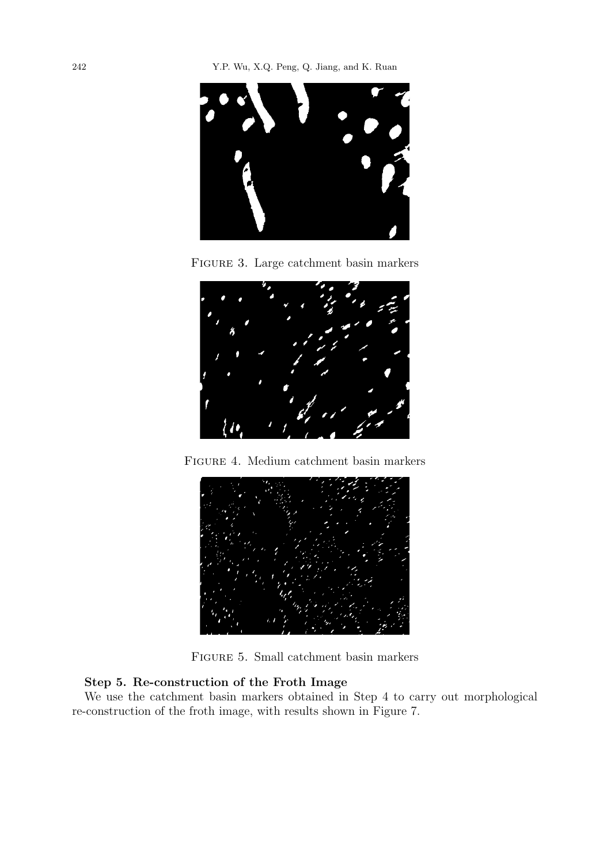

Figure 3. Large catchment basin markers



Figure 4. Medium catchment basin markers



Figure 5. Small catchment basin markers

# Step 5. Re-construction of the Froth Image

We use the catchment basin markers obtained in Step 4 to carry out morphological re-construction of the froth image, with results shown in Figure 7.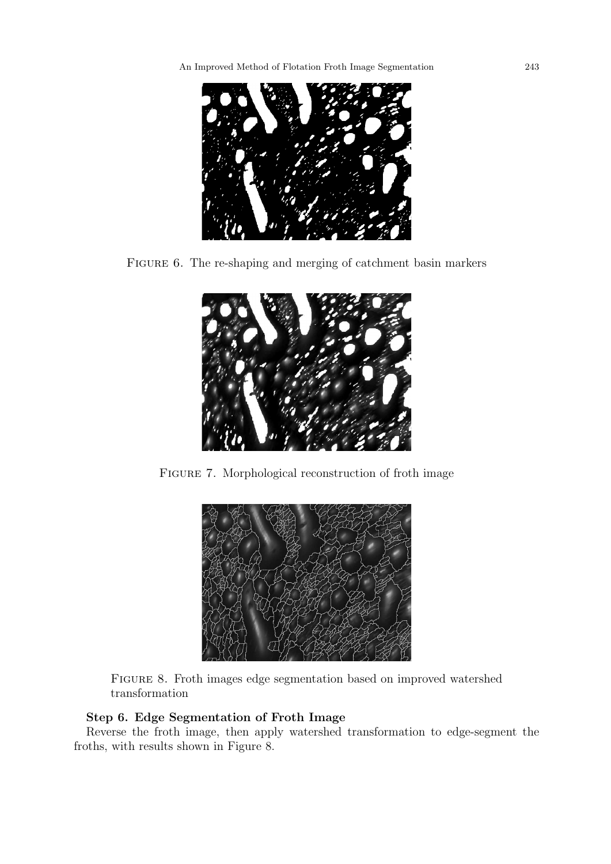

FIGURE 6. The re-shaping and merging of catchment basin markers



Figure 7. Morphological reconstruction of froth image



Figure 8. Froth images edge segmentation based on improved watershed transformation

# Step 6. Edge Segmentation of Froth Image

Reverse the froth image, then apply watershed transformation to edge-segment the froths, with results shown in Figure 8.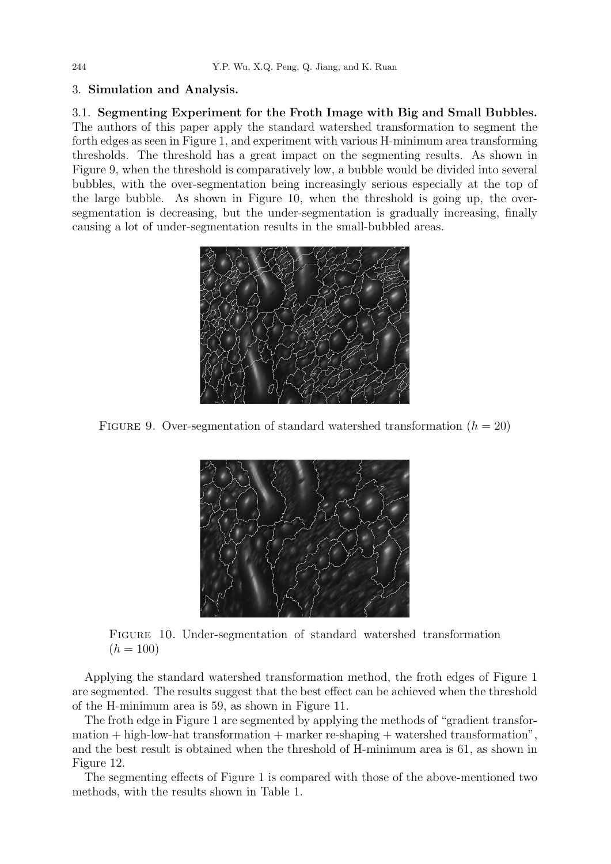### 3. Simulation and Analysis.

3.1. Segmenting Experiment for the Froth Image with Big and Small Bubbles. The authors of this paper apply the standard watershed transformation to segment the forth edges as seen in Figure 1, and experiment with various H-minimum area transforming thresholds. The threshold has a great impact on the segmenting results. As shown in Figure 9, when the threshold is comparatively low, a bubble would be divided into several bubbles, with the over-segmentation being increasingly serious especially at the top of the large bubble. As shown in Figure 10, when the threshold is going up, the oversegmentation is decreasing, but the under-segmentation is gradually increasing, finally causing a lot of under-segmentation results in the small-bubbled areas.



FIGURE 9. Over-segmentation of standard watershed transformation  $(h = 20)$ 



Figure 10. Under-segmentation of standard watershed transformation  $(h = 100)$ 

Applying the standard watershed transformation method, the froth edges of Figure 1 are segmented. The results suggest that the best effect can be achieved when the threshold of the H-minimum area is 59, as shown in Figure 11.

The froth edge in Figure 1 are segmented by applying the methods of "gradient transfor $mation + high-low-hat transformation + marker re-shaping + watershed transformation",$ and the best result is obtained when the threshold of H-minimum area is 61, as shown in Figure 12.

The segmenting effects of Figure 1 is compared with those of the above-mentioned two methods, with the results shown in Table 1.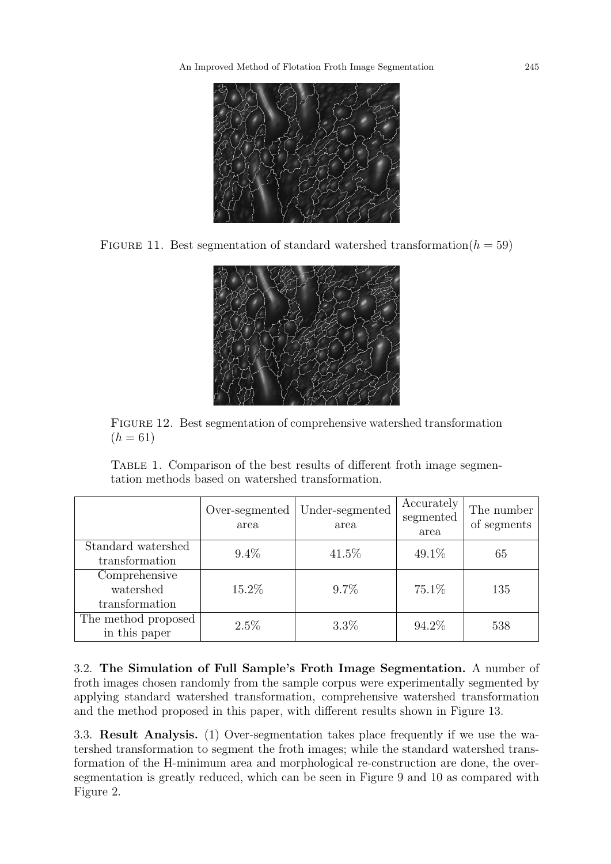

FIGURE 11. Best segmentation of standard watershed transformation( $h = 59$ )



Figure 12. Best segmentation of comprehensive watershed transformation  $(h = 61)$ 

TABLE 1. Comparison of the best results of different froth image segmentation methods based on watershed transformation.

|                                              | Over-segmented<br>area | Under-segmented<br>area | Accurately<br>segmented<br>area | The number<br>of segments |
|----------------------------------------------|------------------------|-------------------------|---------------------------------|---------------------------|
| Standard watershed<br>transformation         | $9.4\%$                | 41.5%                   | 49.1%                           | 65                        |
| Comprehensive<br>watershed<br>transformation | 15.2%                  | $9.7\%$                 | 75.1\%                          | 135                       |
| The method proposed<br>in this paper         | 2.5%                   | $3.3\%$                 | 94.2%                           | 538                       |

3.2. The Simulation of Full Sample's Froth Image Segmentation. A number of froth images chosen randomly from the sample corpus were experimentally segmented by applying standard watershed transformation, comprehensive watershed transformation and the method proposed in this paper, with different results shown in Figure 13.

3.3. Result Analysis. (1) Over-segmentation takes place frequently if we use the watershed transformation to segment the froth images; while the standard watershed transformation of the H-minimum area and morphological re-construction are done, the oversegmentation is greatly reduced, which can be seen in Figure 9 and 10 as compared with Figure 2.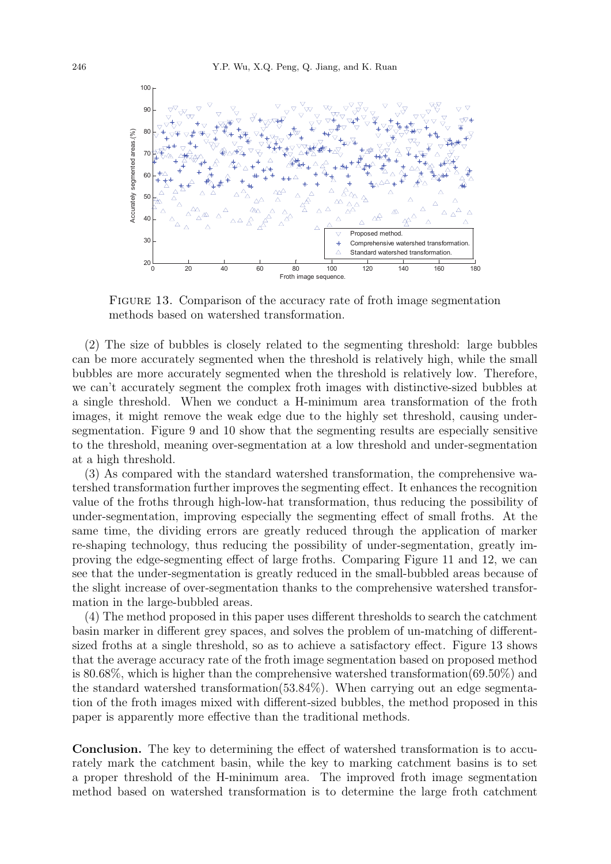

FIGURE 13. Comparison of the accuracy rate of froth image segmentation methods based on watershed transformation.

(2) The size of bubbles is closely related to the segmenting threshold: large bubbles can be more accurately segmented when the threshold is relatively high, while the small bubbles are more accurately segmented when the threshold is relatively low. Therefore, we can't accurately segment the complex froth images with distinctive-sized bubbles at a single threshold. When we conduct a H-minimum area transformation of the froth images, it might remove the weak edge due to the highly set threshold, causing undersegmentation. Figure 9 and 10 show that the segmenting results are especially sensitive to the threshold, meaning over-segmentation at a low threshold and under-segmentation at a high threshold.

(3) As compared with the standard watershed transformation, the comprehensive watershed transformation further improves the segmenting effect. It enhances the recognition value of the froths through high-low-hat transformation, thus reducing the possibility of under-segmentation, improving especially the segmenting effect of small froths. At the same time, the dividing errors are greatly reduced through the application of marker re-shaping technology, thus reducing the possibility of under-segmentation, greatly improving the edge-segmenting effect of large froths. Comparing Figure 11 and 12, we can see that the under-segmentation is greatly reduced in the small-bubbled areas because of the slight increase of over-segmentation thanks to the comprehensive watershed transformation in the large-bubbled areas.

(4) The method proposed in this paper uses different thresholds to search the catchment basin marker in different grey spaces, and solves the problem of un-matching of differentsized froths at a single threshold, so as to achieve a satisfactory effect. Figure 13 shows that the average accuracy rate of the froth image segmentation based on proposed method is 80.68%, which is higher than the comprehensive watershed transformation(69.50%) and the standard watershed transformation(53.84%). When carrying out an edge segmentation of the froth images mixed with different-sized bubbles, the method proposed in this paper is apparently more effective than the traditional methods.

Conclusion. The key to determining the effect of watershed transformation is to accurately mark the catchment basin, while the key to marking catchment basins is to set a proper threshold of the H-minimum area. The improved froth image segmentation method based on watershed transformation is to determine the large froth catchment